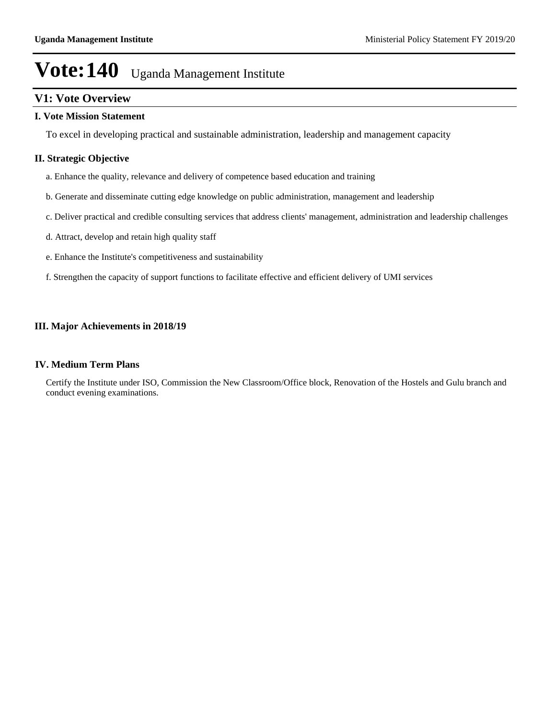# **V1: Vote Overview**

### **I. Vote Mission Statement**

To excel in developing practical and sustainable administration, leadership and management capacity

### **II. Strategic Objective**

- a. Enhance the quality, relevance and delivery of competence based education and training
- b. Generate and disseminate cutting edge knowledge on public administration, management and leadership
- c. Deliver practical and credible consulting services that address clients' management, administration and leadership challenges
- d. Attract, develop and retain high quality staff
- e. Enhance the Institute's competitiveness and sustainability
- f. Strengthen the capacity of support functions to facilitate effective and efficient delivery of UMI services

### **III. Major Achievements in 2018/19**

#### **IV. Medium Term Plans**

Certify the Institute under ISO, Commission the New Classroom/Office block, Renovation of the Hostels and Gulu branch and conduct evening examinations.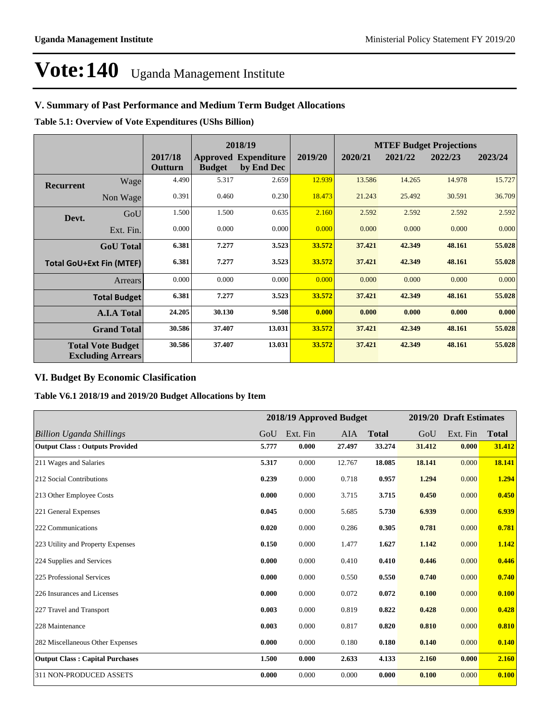# **V. Summary of Past Performance and Medium Term Budget Allocations**

**Table 5.1: Overview of Vote Expenditures (UShs Billion)**

|                                 |                                                      | 2018/19            |               |                                           |         |         |         | <b>MTEF Budget Projections</b> |         |
|---------------------------------|------------------------------------------------------|--------------------|---------------|-------------------------------------------|---------|---------|---------|--------------------------------|---------|
|                                 |                                                      | 2017/18<br>Outturn | <b>Budget</b> | <b>Approved Expenditure</b><br>by End Dec | 2019/20 | 2020/21 | 2021/22 | 2022/23                        | 2023/24 |
| <b>Recurrent</b>                | Wage                                                 | 4.490              | 5.317         | 2.659                                     | 12.939  | 13.586  | 14.265  | 14.978                         | 15.727  |
|                                 | Non Wage                                             | 0.391              | 0.460         | 0.230                                     | 18.473  | 21.243  | 25.492  | 30.591                         | 36.709  |
| Devt.                           | GoU                                                  | 1.500              | 1.500         | 0.635                                     | 2.160   | 2.592   | 2.592   | 2.592                          | 2.592   |
|                                 | Ext. Fin.                                            | 0.000              | 0.000         | 0.000                                     | 0.000   | 0.000   | 0.000   | 0.000                          | 0.000   |
|                                 | <b>GoU</b> Total                                     | 6.381              | 7.277         | 3.523                                     | 33.572  | 37.421  | 42.349  | 48.161                         | 55.028  |
| <b>Total GoU+Ext Fin (MTEF)</b> |                                                      | 6.381              | 7.277         | 3.523                                     | 33.572  | 37.421  | 42.349  | 48.161                         | 55.028  |
|                                 | <b>Arrears</b>                                       | 0.000              | 0.000         | 0.000                                     | 0.000   | 0.000   | 0.000   | 0.000                          | 0.000   |
|                                 | <b>Total Budget</b>                                  | 6.381              | 7.277         | 3.523                                     | 33.572  | 37.421  | 42.349  | 48.161                         | 55.028  |
|                                 | <b>A.I.A Total</b>                                   | 24.205             | 30.130        | 9.508                                     | 0.000   | 0.000   | 0.000   | 0.000                          | 0.000   |
|                                 | <b>Grand Total</b>                                   | 30.586             | 37.407        | 13.031                                    | 33.572  | 37.421  | 42.349  | 48.161                         | 55.028  |
|                                 | <b>Total Vote Budget</b><br><b>Excluding Arrears</b> | 30.586             | 37.407        | 13.031                                    | 33.572  | 37.421  | 42.349  | 48.161                         | 55.028  |

## **VI. Budget By Economic Clasification**

**Table V6.1 2018/19 and 2019/20 Budget Allocations by Item**

|                                        |       |          | 2018/19 Approved Budget |              |        | 2019/20 Draft Estimates |              |
|----------------------------------------|-------|----------|-------------------------|--------------|--------|-------------------------|--------------|
| <b>Billion Uganda Shillings</b>        | GoU   | Ext. Fin | AIA                     | <b>Total</b> | GoU    | Ext. Fin                | <b>Total</b> |
| <b>Output Class: Outputs Provided</b>  | 5.777 | 0.000    | 27.497                  | 33.274       | 31.412 | 0.000                   | 31.412       |
| 211 Wages and Salaries                 | 5.317 | 0.000    | 12.767                  | 18.085       | 18.141 | 0.000                   | 18.141       |
| 212 Social Contributions               | 0.239 | 0.000    | 0.718                   | 0.957        | 1.294  | 0.000                   | 1.294        |
| 213 Other Employee Costs               | 0.000 | 0.000    | 3.715                   | 3.715        | 0.450  | 0.000                   | 0.450        |
| 221 General Expenses                   | 0.045 | 0.000    | 5.685                   | 5.730        | 6.939  | 0.000                   | 6.939        |
| 222 Communications                     | 0.020 | 0.000    | 0.286                   | 0.305        | 0.781  | 0.000                   | 0.781        |
| 223 Utility and Property Expenses      | 0.150 | 0.000    | 1.477                   | 1.627        | 1.142  | 0.000                   | 1.142        |
| 224 Supplies and Services              | 0.000 | 0.000    | 0.410                   | 0.410        | 0.446  | 0.000                   | 0.446        |
| 225 Professional Services              | 0.000 | 0.000    | 0.550                   | 0.550        | 0.740  | 0.000                   | 0.740        |
| 226 Insurances and Licenses            | 0.000 | 0.000    | 0.072                   | 0.072        | 0.100  | 0.000                   | 0.100        |
| 227 Travel and Transport               | 0.003 | 0.000    | 0.819                   | 0.822        | 0.428  | 0.000                   | 0.428        |
| 228 Maintenance                        | 0.003 | 0.000    | 0.817                   | 0.820        | 0.810  | 0.000                   | 0.810        |
| 282 Miscellaneous Other Expenses       | 0.000 | 0.000    | 0.180                   | 0.180        | 0.140  | 0.000                   | 0.140        |
| <b>Output Class: Capital Purchases</b> | 1.500 | 0.000    | 2.633                   | 4.133        | 2.160  | 0.000                   | 2.160        |
| 311 NON-PRODUCED ASSETS                | 0.000 | 0.000    | 0.000                   | 0.000        | 0.100  | 0.000                   | 0.100        |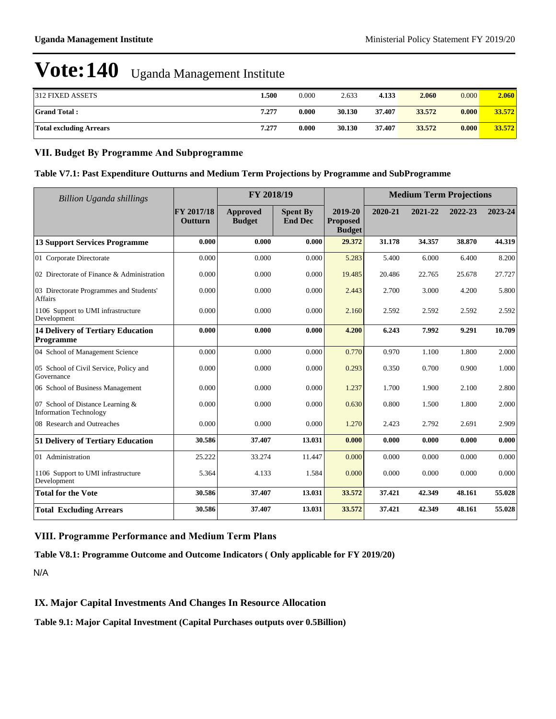| 312 FIXED ASSETS               | 500   | 0.000 | 2.633  | 4.133  | 2.060  | 0.000 | 2.060  |
|--------------------------------|-------|-------|--------|--------|--------|-------|--------|
| <b>Grand Total:</b>            | 7.277 | 0.000 | 30.130 | 37.407 | 33.572 | 0.000 | 33.572 |
| <b>Total excluding Arrears</b> | 7.277 | 0.000 | 30.130 | 37.407 | 33.572 | 0.000 | 33.572 |

### **VII. Budget By Programme And Subprogramme**

### **Table V7.1: Past Expenditure Outturns and Medium Term Projections by Programme and SubProgramme**

| <b>Billion Uganda shillings</b>                                   |                       | FY 2018/19                       |                                   |                                             |         |         |         | <b>Medium Term Projections</b> |  |
|-------------------------------------------------------------------|-----------------------|----------------------------------|-----------------------------------|---------------------------------------------|---------|---------|---------|--------------------------------|--|
|                                                                   | FY 2017/18<br>Outturn | <b>Approved</b><br><b>Budget</b> | <b>Spent By</b><br><b>End Dec</b> | 2019-20<br><b>Proposed</b><br><b>Budget</b> | 2020-21 | 2021-22 | 2022-23 | 2023-24                        |  |
| <b>13 Support Services Programme</b>                              | 0.000                 | 0.000                            | 0.000                             | 29.372                                      | 31.178  | 34.357  | 38.870  | 44.319                         |  |
| 01 Corporate Directorate                                          | 0.000                 | 0.000                            | 0.000                             | 5.283                                       | 5.400   | 6.000   | 6.400   | 8.200                          |  |
| 02 Directorate of Finance & Administration                        | 0.000                 | 0.000                            | 0.000                             | 19.485                                      | 20.486  | 22.765  | 25.678  | 27.727                         |  |
| 03 Directorate Programmes and Students'<br><b>Affairs</b>         | 0.000                 | 0.000                            | 0.000                             | 2.443                                       | 2.700   | 3.000   | 4.200   | 5.800                          |  |
| 1106 Support to UMI infrastructure<br>Development                 | 0.000                 | 0.000                            | 0.000                             | 2.160                                       | 2.592   | 2.592   | 2.592   | 2.592                          |  |
| <b>14 Delivery of Tertiary Education</b><br>Programme             | 0.000                 | 0.000                            | 0.000                             | 4.200                                       | 6.243   | 7.992   | 9.291   | 10.709                         |  |
| 04 School of Management Science                                   | 0.000                 | 0.000                            | 0.000                             | 0.770                                       | 0.970   | 1.100   | 1.800   | 2.000                          |  |
| 05 School of Civil Service, Policy and<br>Governance              | 0.000                 | 0.000                            | 0.000                             | 0.293                                       | 0.350   | 0.700   | 0.900   | 1.000                          |  |
| 06 School of Business Management                                  | 0.000                 | 0.000                            | 0.000                             | 1.237                                       | 1.700   | 1.900   | 2.100   | 2.800                          |  |
| 07 School of Distance Learning &<br><b>Information Technology</b> | 0.000                 | 0.000                            | 0.000                             | 0.630                                       | 0.800   | 1.500   | 1.800   | 2.000                          |  |
| 08 Research and Outreaches                                        | 0.000                 | 0.000                            | 0.000                             | 1.270                                       | 2.423   | 2.792   | 2.691   | 2.909                          |  |
| 51 Delivery of Tertiary Education                                 | 30.586                | 37.407                           | 13.031                            | 0.000                                       | 0.000   | 0.000   | 0.000   | 0.000                          |  |
| 01 Administration                                                 | 25.222                | 33.274                           | 11.447                            | 0.000                                       | 0.000   | 0.000   | 0.000   | 0.000                          |  |
| 1106 Support to UMI infrastructure<br>Development                 | 5.364                 | 4.133                            | 1.584                             | 0.000                                       | 0.000   | 0.000   | 0.000   | 0.000                          |  |
| <b>Total for the Vote</b>                                         | 30.586                | 37.407                           | 13.031                            | 33.572                                      | 37.421  | 42.349  | 48.161  | 55.028                         |  |
| <b>Total Excluding Arrears</b>                                    | 30.586                | 37.407                           | 13.031                            | 33.572                                      | 37.421  | 42.349  | 48.161  | 55.028                         |  |

## **VIII. Programme Performance and Medium Term Plans**

**Table V8.1: Programme Outcome and Outcome Indicators ( Only applicable for FY 2019/20)**

N/A

### **IX. Major Capital Investments And Changes In Resource Allocation**

**Table 9.1: Major Capital Investment (Capital Purchases outputs over 0.5Billion)**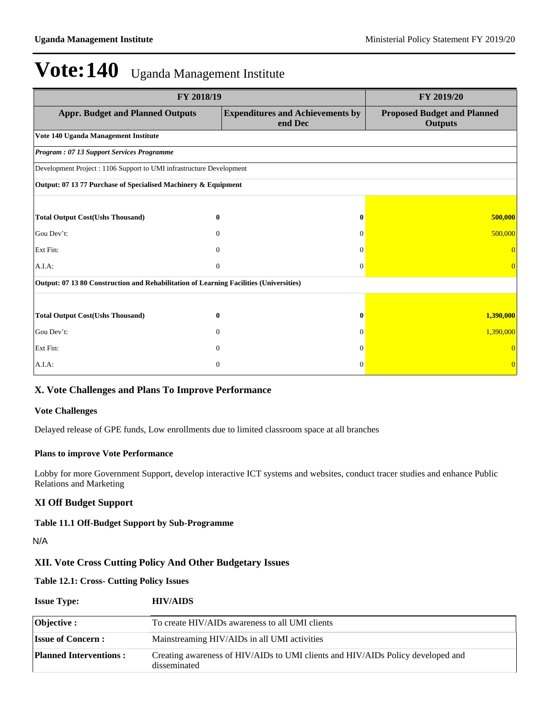|                                                                                        | FY 2019/20   |                                                    |                                                      |
|----------------------------------------------------------------------------------------|--------------|----------------------------------------------------|------------------------------------------------------|
| <b>Appr. Budget and Planned Outputs</b>                                                |              | <b>Expenditures and Achievements by</b><br>end Dec | <b>Proposed Budget and Planned</b><br><b>Outputs</b> |
| Vote 140 Uganda Management Institute                                                   |              |                                                    |                                                      |
| Program: 07 13 Support Services Programme                                              |              |                                                    |                                                      |
| Development Project : 1106 Support to UMI infrastructure Development                   |              |                                                    |                                                      |
| Output: 07 13 77 Purchase of Specialised Machinery & Equipment                         |              |                                                    |                                                      |
|                                                                                        |              |                                                    |                                                      |
| <b>Total Output Cost(Ushs Thousand)</b>                                                | $\bf{0}$     | $\bf{0}$                                           | 500,000                                              |
| Gou Dev't:                                                                             | $\Omega$     | $\Omega$                                           | 500,000                                              |
| Ext Fin:                                                                               | $\Omega$     | $\Omega$                                           |                                                      |
| A.I.A.                                                                                 | $\Omega$     | $\Omega$                                           | $\Omega$                                             |
| Output: 07 13 80 Construction and Rehabilitation of Learning Facilities (Universities) |              |                                                    |                                                      |
|                                                                                        |              |                                                    |                                                      |
| <b>Total Output Cost(Ushs Thousand)</b>                                                | $\bf{0}$     |                                                    | 1,390,000                                            |
| Gou Dev't:                                                                             | $\Omega$     | $\Omega$                                           | 1,390,000                                            |
| Ext Fin:                                                                               | $\mathbf{0}$ | $\Omega$                                           |                                                      |
| A.I.A:                                                                                 | $\mathbf{0}$ | $\Omega$                                           |                                                      |

### **X. Vote Challenges and Plans To Improve Performance**

#### **Vote Challenges**

Delayed release of GPE funds, Low enrollments due to limited classroom space at all branches

#### **Plans to improve Vote Performance**

Lobby for more Government Support, develop interactive ICT systems and websites, conduct tracer studies and enhance Public Relations and Marketing

### **XI Off Budget Support**

#### **Table 11.1 Off-Budget Support by Sub-Programme**

N/A

# **XII. Vote Cross Cutting Policy And Other Budgetary Issues**

## **Table 12.1: Cross- Cutting Policy Issues**

| <b>Issue Type:</b>            | <b>HIV/AIDS</b>                                                                                 |
|-------------------------------|-------------------------------------------------------------------------------------------------|
| Objective :                   | To create HIV/AIDs awareness to all UMI clients                                                 |
| <b>Issue of Concern:</b>      | Mainstreaming HIV/AIDs in all UMI activities                                                    |
| <b>Planned Interventions:</b> | Creating awareness of HIV/AIDs to UMI clients and HIV/AIDs Policy developed and<br>disseminated |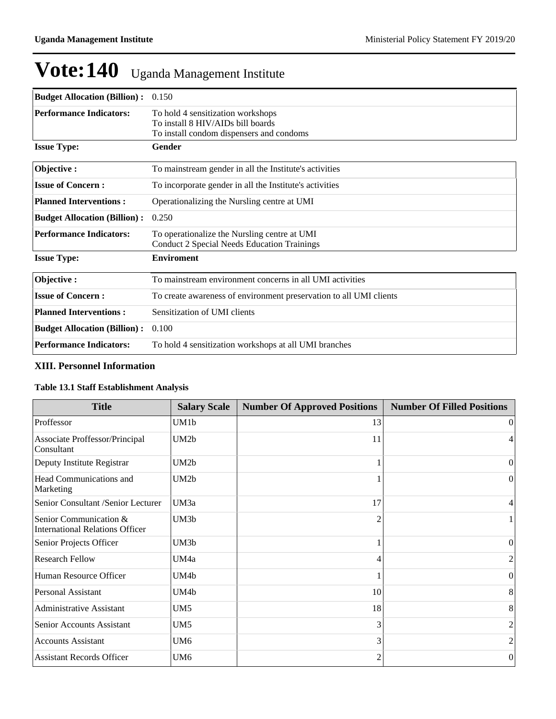| <b>Budget Allocation (Billion):</b> | 0.150                                                              |
|-------------------------------------|--------------------------------------------------------------------|
| <b>Performance Indicators:</b>      | To hold 4 sensitization workshops                                  |
|                                     | To install 8 HIV/AIDs bill boards                                  |
|                                     | To install condom dispensers and condoms                           |
| <b>Issue Type:</b>                  | Gender                                                             |
| Objective:                          | To mainstream gender in all the Institute's activities             |
| <b>Issue of Concern:</b>            | To incorporate gender in all the Institute's activities            |
| <b>Planned Interventions:</b>       | Operationalizing the Nursling centre at UMI                        |
| <b>Budget Allocation (Billion):</b> | 0.250                                                              |
| <b>Performance Indicators:</b>      | To operationalize the Nursling centre at UMI                       |
|                                     | <b>Conduct 2 Special Needs Education Trainings</b>                 |
| <b>Issue Type:</b>                  | <b>Enviroment</b>                                                  |
| Objective:                          | To mainstream environment concerns in all UMI activities           |
| <b>Issue of Concern:</b>            | To create awareness of environment preservation to all UMI clients |
| <b>Planned Interventions:</b>       | Sensitization of UMI clients                                       |
| <b>Budget Allocation (Billion):</b> | 0.100                                                              |
| <b>Performance Indicators:</b>      | To hold 4 sensitization workshops at all UMI branches              |

### **XIII. Personnel Information**

# **Table 13.1 Staff Establishment Analysis**

| <b>Title</b>                                                     | <b>Salary Scale</b> | <b>Number Of Approved Positions</b> | <b>Number Of Filled Positions</b> |
|------------------------------------------------------------------|---------------------|-------------------------------------|-----------------------------------|
| Proffessor                                                       | UM1b                | 13                                  | $\vert$ 0                         |
| Associate Proffessor/Principal<br>Consultant                     | UM2b                | 11                                  | 4                                 |
| Deputy Institute Registrar                                       | UM2b                |                                     | $\Omega$                          |
| Head Communications and<br>Marketing                             | UM2b                |                                     | $\theta$                          |
| Senior Consultant /Senior Lecturer                               | UM3a                | 17                                  | 4                                 |
| Senior Communication &<br><b>International Relations Officer</b> | UM3b                |                                     |                                   |
| Senior Projects Officer                                          | UM3b                |                                     | $\Omega$                          |
| <b>Research Fellow</b>                                           | UM4a                |                                     | 2                                 |
| Human Resource Officer                                           | UM4b                |                                     | $\overline{0}$                    |
| <b>Personal Assistant</b>                                        | UM4b                | 10                                  | 8                                 |
| <b>Administrative Assistant</b>                                  | UM5                 | 18                                  | 8                                 |
| <b>Senior Accounts Assistant</b>                                 | UM5                 | 3                                   | 2                                 |
| <b>Accounts Assistant</b>                                        | UM6                 | 3                                   | 2                                 |
| <b>Assistant Records Officer</b>                                 | UM6                 |                                     | $\theta$                          |